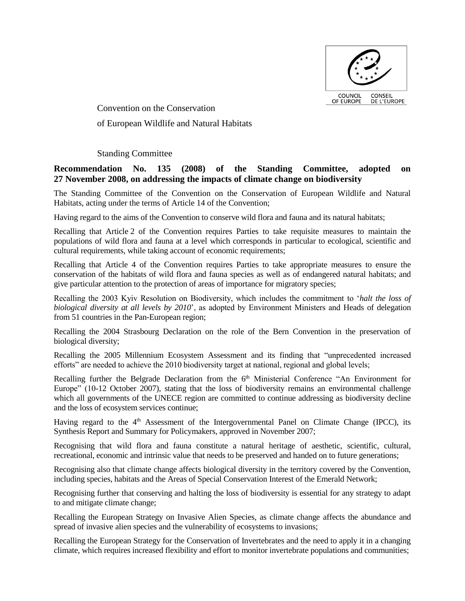

Convention on the Conservation of European Wildlife and Natural Habitats

Standing Committee

# **Recommendation No. 135 (2008) of the Standing Committee, adopted on 27 November 2008, on addressing the impacts of climate change on biodiversity**

The Standing Committee of the Convention on the Conservation of European Wildlife and Natural Habitats, acting under the terms of Article 14 of the Convention;

Having regard to the aims of the Convention to conserve wild flora and fauna and its natural habitats;

Recalling that Article 2 of the Convention requires Parties to take requisite measures to maintain the populations of wild flora and fauna at a level which corresponds in particular to ecological, scientific and cultural requirements, while taking account of economic requirements;

Recalling that Article 4 of the Convention requires Parties to take appropriate measures to ensure the conservation of the habitats of wild flora and fauna species as well as of endangered natural habitats; and give particular attention to the protection of areas of importance for migratory species;

Recalling the 2003 Kyiv Resolution on Biodiversity, which includes the commitment to '*halt the loss of biological diversity at all levels by 2010*', as adopted by Environment Ministers and Heads of delegation from 51 countries in the Pan-European region;

Recalling the 2004 Strasbourg Declaration on the role of the Bern Convention in the preservation of biological diversity;

Recalling the 2005 Millennium Ecosystem Assessment and its finding that "unprecedented increased efforts" are needed to achieve the 2010 biodiversity target at national, regional and global levels;

Recalling further the Belgrade Declaration from the  $6<sup>th</sup>$  Ministerial Conference "An Environment for Europe" (10-12 October 2007), stating that the loss of biodiversity remains an environmental challenge which all governments of the UNECE region are committed to continue addressing as biodiversity decline and the loss of ecosystem services continue;

Having regard to the  $4<sup>th</sup>$  Assessment of the Intergovernmental Panel on Climate Change (IPCC), its Synthesis Report and Summary for Policymakers, approved in November 2007;

Recognising that wild flora and fauna constitute a natural heritage of aesthetic, scientific, cultural, recreational, economic and intrinsic value that needs to be preserved and handed on to future generations;

Recognising also that climate change affects biological diversity in the territory covered by the Convention, including species, habitats and the Areas of Special Conservation Interest of the Emerald Network;

Recognising further that conserving and halting the loss of biodiversity is essential for any strategy to adapt to and mitigate climate change;

Recalling the European Strategy on Invasive Alien Species, as climate change affects the abundance and spread of invasive alien species and the vulnerability of ecosystems to invasions;

Recalling the European Strategy for the Conservation of Invertebrates and the need to apply it in a changing climate, which requires increased flexibility and effort to monitor invertebrate populations and communities;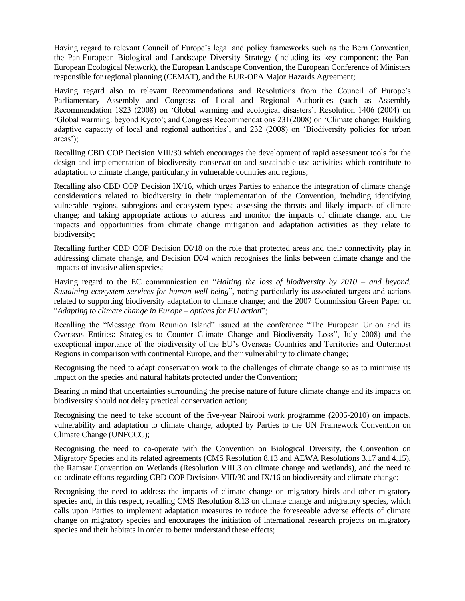Having regard to relevant Council of Europe's legal and policy frameworks such as the Bern Convention, the Pan-European Biological and Landscape Diversity Strategy (including its key component: the Pan-European Ecological Network), the European Landscape Convention, the European Conference of Ministers responsible for regional planning (CEMAT), and the EUR-OPA Major Hazards Agreement;

Having regard also to relevant Recommendations and Resolutions from the Council of Europe's Parliamentary Assembly and Congress of Local and Regional Authorities (such as Assembly Recommendation 1823 (2008) on 'Global warming and ecological disasters', Resolution 1406 (2004) on 'Global warming: beyond Kyoto'; and Congress Recommendations 231(2008) on 'Climate change: Building adaptive capacity of local and regional authorities', and 232 (2008) on 'Biodiversity policies for urban areas');

Recalling CBD COP Decision VIII/30 which encourages the development of rapid assessment tools for the design and implementation of biodiversity conservation and sustainable use activities which contribute to adaptation to climate change, particularly in vulnerable countries and regions;

Recalling also CBD COP Decision IX/16, which urges Parties to enhance the integration of climate change considerations related to biodiversity in their implementation of the Convention, including identifying vulnerable regions, subregions and ecosystem types; assessing the threats and likely impacts of climate change; and taking appropriate actions to address and monitor the impacts of climate change, and the impacts and opportunities from climate change mitigation and adaptation activities as they relate to biodiversity;

Recalling further CBD COP Decision IX/18 on the role that protected areas and their connectivity play in addressing climate change, and Decision IX/4 which recognises the links between climate change and the impacts of invasive alien species;

Having regard to the EC communication on "*Halting the loss of biodiversity by 2010 – and beyond. Sustaining ecosystem services for human well-being*", noting particularly its associated targets and actions related to supporting biodiversity adaptation to climate change; and the 2007 Commission Green Paper on "*Adapting to climate change in Europe – options for EU action*";

Recalling the "Message from Reunion Island" issued at the conference "The European Union and its Overseas Entities: Strategies to Counter Climate Change and Biodiversity Loss", July 2008) and the exceptional importance of the biodiversity of the EU's Overseas Countries and Territories and Outermost Regions in comparison with continental Europe, and their vulnerability to climate change;

Recognising the need to adapt conservation work to the challenges of climate change so as to minimise its impact on the species and natural habitats protected under the Convention;

Bearing in mind that uncertainties surrounding the precise nature of future climate change and its impacts on biodiversity should not delay practical conservation action;

Recognising the need to take account of the five-year Nairobi work programme (2005-2010) on impacts, vulnerability and adaptation to climate change, adopted by Parties to the UN Framework Convention on Climate Change (UNFCCC);

Recognising the need to co-operate with the Convention on Biological Diversity, the Convention on Migratory Species and its related agreements (CMS Resolution 8.13 and AEWA Resolutions 3.17 and 4.15), the Ramsar Convention on Wetlands (Resolution VIII.3 on climate change and wetlands), and the need to co-ordinate efforts regarding CBD COP Decisions VIII/30 and IX/16 on biodiversity and climate change;

Recognising the need to address the impacts of climate change on migratory birds and other migratory species and, in this respect, recalling CMS Resolution 8.13 on climate change and migratory species, which calls upon Parties to implement adaptation measures to reduce the foreseeable adverse effects of climate change on migratory species and encourages the initiation of international research projects on migratory species and their habitats in order to better understand these effects;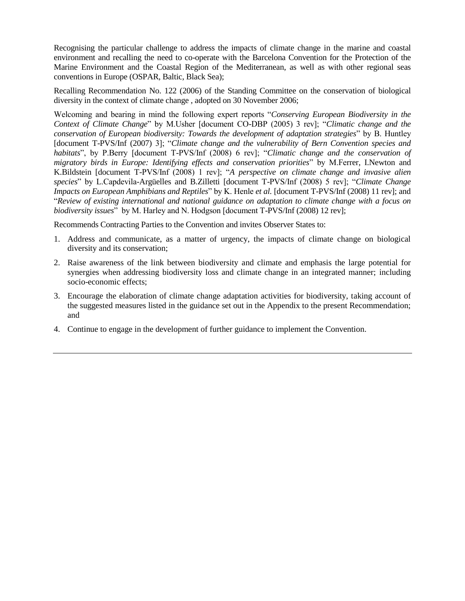Recognising the particular challenge to address the impacts of climate change in the marine and coastal environment and recalling the need to co-operate with the Barcelona Convention for the Protection of the Marine Environment and the Coastal Region of the Mediterranean, as well as with other regional seas conventions in Europe (OSPAR, Baltic, Black Sea);

Recalling Recommendation No. 122 (2006) of the Standing Committee on the conservation of biological diversity in the context of climate change , adopted on 30 November 2006;

Welcoming and bearing in mind the following expert reports "*Conserving European Biodiversity in the Context of Climate Change*" by M.Usher [document CO-DBP (2005) 3 rev]; "*Climatic change and the conservation of European biodiversity: Towards the development of adaptation strategies*" by B. Huntley [document T-PVS/Inf (2007) 3]; "*Climate change and the vulnerability of Bern Convention species and habitats*", by P.Berry [document T-PVS/Inf (2008) 6 rev]; "*Climatic change and the conservation of migratory birds in Europe: Identifying effects and conservation priorities*" by M.Ferrer, I.Newton and K.Bildstein [document T-PVS/Inf (2008) 1 rev]; "*A perspective on climate change and invasive alien species*" by L.Capdevila-Argüelles and B.Zilletti [document T-PVS/Inf (2008) 5 rev]; "*Climate Change Impacts on European Amphibians and Reptiles*" by K. Henle *et al.* [document T-PVS/Inf (2008) 11 rev]; and "*Review of existing international and national guidance on adaptation to climate change with a focus on biodiversity issues*" by M. Harley and N. Hodgson [document T-PVS/Inf (2008) 12 rev];

Recommends Contracting Parties to the Convention and invites Observer States to:

- 1. Address and communicate, as a matter of urgency, the impacts of climate change on biological diversity and its conservation;
- 2. Raise awareness of the link between biodiversity and climate and emphasis the large potential for synergies when addressing biodiversity loss and climate change in an integrated manner; including socio-economic effects;
- 3. Encourage the elaboration of climate change adaptation activities for biodiversity, taking account of the suggested measures listed in the guidance set out in the Appendix to the present Recommendation; and
- 4. Continue to engage in the development of further guidance to implement the Convention.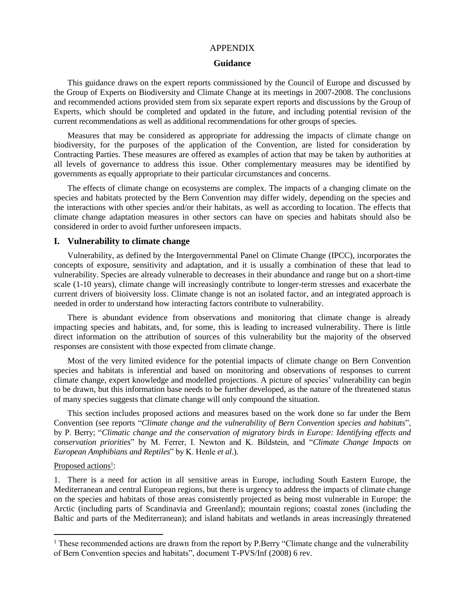#### APPENDIX

#### **Guidance**

This guidance draws on the expert reports commissioned by the Council of Europe and discussed by the Group of Experts on Biodiversity and Climate Change at its meetings in 2007-2008. The conclusions and recommended actions provided stem from six separate expert reports and discussions by the Group of Experts, which should be completed and updated in the future, and including potential revision of the current recommendations as well as additional recommendations for other groups of species.

Measures that may be considered as appropriate for addressing the impacts of climate change on biodiversity, for the purposes of the application of the Convention, are listed for consideration by Contracting Parties. These measures are offered as examples of action that may be taken by authorities at all levels of governance to address this issue. Other complementary measures may be identified by governments as equally appropriate to their particular circumstances and concerns.

The effects of climate change on ecosystems are complex. The impacts of a changing climate on the species and habitats protected by the Bern Convention may differ widely, depending on the species and the interactions with other species and/or their habitats, as well as according to location. The effects that climate change adaptation measures in other sectors can have on species and habitats should also be considered in order to avoid further unforeseen impacts.

#### **I. Vulnerability to climate change**

Vulnerability, as defined by the Intergovernmental Panel on Climate Change (IPCC), incorporates the concepts of exposure, sensitivity and adaptation, and it is usually a combination of these that lead to vulnerability. Species are already vulnerable to decreases in their abundance and range but on a short-time scale (1-10 years), climate change will increasingly contribute to longer-term stresses and exacerbate the current drivers of bioiversity loss. Climate change is not an isolated factor, and an integrated approach is needed in order to understand how interacting factors contribute to vulnerability.

There is abundant evidence from observations and monitoring that climate change is already impacting species and habitats, and, for some, this is leading to increased vulnerability. There is little direct information on the attribution of sources of this vulnerability but the majority of the observed responses are consistent with those expected from climate change.

Most of the very limited evidence for the potential impacts of climate change on Bern Convention species and habitats is inferential and based on monitoring and observations of responses to current climate change, expert knowledge and modelled projections. A picture of species' vulnerability can begin to be drawn, but this information base needs to be further developed, as the nature of the threatened status of many species suggests that climate change will only compound the situation.

This section includes proposed actions and measures based on the work done so far under the Bern Convention (see reports "*Climate change and the vulnerability of Bern Convention species and habitats*", by P. Berry; "*Climatic change and the conservation of migratory birds in Europe: Identifying effects and conservation priorities*" by M. Ferrer, I. Newton and K. Bildstein, and "*Climate Change Impacts on European Amphibians and Reptiles*" by K. Henle *et al.*).

#### Proposed actions<sup>1</sup>:

 $\overline{a}$ 

1. There is a need for action in all sensitive areas in Europe, including South Eastern Europe, the Mediterranean and central European regions, but there is urgency to address the impacts of climate change on the species and habitats of those areas consistently projected as being most vulnerable in Europe: the Arctic (including parts of Scandinavia and Greenland); mountain regions; coastal zones (including the Baltic and parts of the Mediterranean); and island habitats and wetlands in areas increasingly threatened

<sup>&</sup>lt;sup>1</sup> These recommended actions are drawn from the report by P.Berry "Climate change and the vulnerability of Bern Convention species and habitats", document T-PVS/Inf (2008) 6 rev.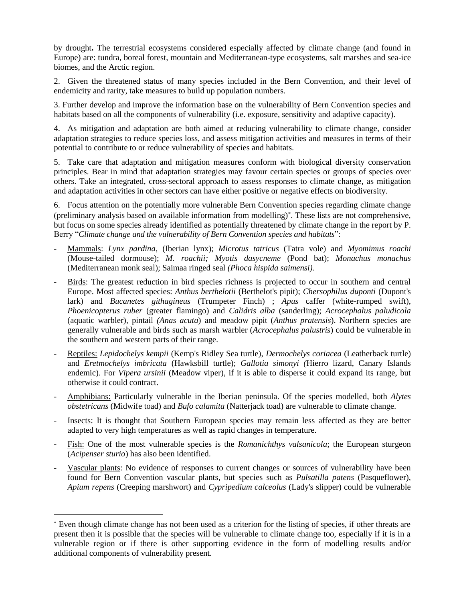by drought**.** The terrestrial ecosystems considered especially affected by climate change (and found in Europe) are: tundra, boreal forest, mountain and Mediterranean-type ecosystems, salt marshes and sea-ice biomes, and the Arctic region.

2. Given the threatened status of many species included in the Bern Convention, and their level of endemicity and rarity, take measures to build up population numbers.

3. Further develop and improve the information base on the vulnerability of Bern Convention species and habitats based on all the components of vulnerability (i.e. exposure, sensitivity and adaptive capacity).

4. As mitigation and adaptation are both aimed at reducing vulnerability to climate change, consider adaptation strategies to reduce species loss, and assess mitigation activities and measures in terms of their potential to contribute to or reduce vulnerability of species and habitats.

5. Take care that adaptation and mitigation measures conform with biological diversity conservation principles. Bear in mind that adaptation strategies may favour certain species or groups of species over others. Take an integrated, cross-sectoral approach to assess responses to climate change, as mitigation and adaptation activities in other sectors can have either positive or negative effects on biodiversity.

6. Focus attention on the potentially more vulnerable Bern Convention species regarding climate change (preliminary analysis based on available information from modelling) . These lists are not comprehensive, but focus on some species already identified as potentially threatened by climate change in the report by P. Berry "*Climate change and the vulnerability of Bern Convention species and habitats*":

- Mammals: *Lynx pardina*, (Iberian lynx); *Microtus tatricus* (Tatra vole) and *Myomimus roachi*  (Mouse-tailed dormouse); *M. roachii; Myotis dasycneme* (Pond bat); *Monachus monachus* (Mediterranean monk seal); Saimaa ringed seal *(Phoca hispida saimensi).*
- Birds: The greatest reduction in bird species richness is projected to occur in southern and central Europe. Most affected species: *Anthus berthelotii* (Berthelot's pipit); *Chersophilus duponti* (Dupont's lark) and *Bucanetes githagineus* (Trumpeter Finch) ; *Apus* caffer (white-rumped swift), *Phoenicopterus ruber* (greater flamingo) and *Calidris alba* (sanderling); *Acrocephalus paludicola* (aquatic warbler), pintail *(Anas acuta*) and meadow pipit (*Anthus pratensis*). Northern species are generally vulnerable and birds such as marsh warbler (*Acrocephalus palustris*) could be vulnerable in the southern and western parts of their range.
- Reptiles: *Lepidochelys kempii* (Kemp's Ridley Sea turtle), *Dermochelys coriacea* (Leatherback turtle) and *Eretmochelys imbricata* (Hawksbill turtle); *Gallotia simonyi (*Hierro lizard, Canary Islands endemic). For *Vipera ursinii* (Meadow viper), if it is able to disperse it could expand its range, but otherwise it could contract.
- Amphibians: Particularly vulnerable in the Iberian peninsula. Of the species modelled, both *Alytes obstetricans* (Midwife toad) and *Bufo calamita* (Natterjack toad) are vulnerable to climate change.
- Insects: It is thought that Southern European species may remain less affected as they are better adapted to very high temperatures as well as rapid changes in temperature.
- Fish: One of the most vulnerable species is the *Romanichthys valsanicola*; the European sturgeon (*Acipenser sturio*) has also been identified.
- Vascular plants: No evidence of responses to current changes or sources of vulnerability have been found for Bern Convention vascular plants, but species such as *Pulsatilla patens* (Pasqueflower), *Apium repens* (Creeping marshwort) and *Cypripedium calceolus* (Lady's slipper) could be vulnerable

 $\overline{a}$ 

Even though climate change has not been used as a criterion for the listing of species, if other threats are present then it is possible that the species will be vulnerable to climate change too, especially if it is in a vulnerable region or if there is other supporting evidence in the form of modelling results and/or additional components of vulnerability present.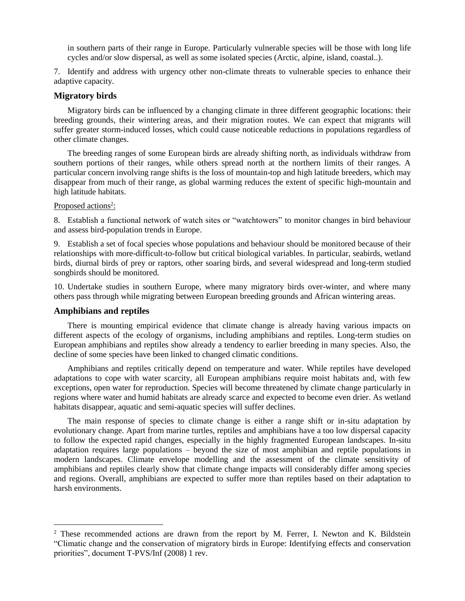in southern parts of their range in Europe. Particularly vulnerable species will be those with long life cycles and/or slow dispersal, as well as some isolated species (Arctic, alpine, island, coastal..).

7. Identify and address with urgency other non-climate threats to vulnerable species to enhance their adaptive capacity.

### **Migratory birds**

Migratory birds can be influenced by a changing climate in three different geographic locations: their breeding grounds, their wintering areas, and their migration routes. We can expect that migrants will suffer greater storm-induced losses, which could cause noticeable reductions in populations regardless of other climate changes.

The breeding ranges of some European birds are already shifting north, as individuals withdraw from southern portions of their ranges, while others spread north at the northern limits of their ranges. A particular concern involving range shifts is the loss of mountain-top and high latitude breeders, which may disappear from much of their range, as global warming reduces the extent of specific high-mountain and high latitude habitats.

#### Proposed actions<sup>2</sup>:

8. Establish a functional network of watch sites or "watchtowers" to monitor changes in bird behaviour and assess bird-population trends in Europe.

9. Establish a set of focal species whose populations and behaviour should be monitored because of their relationships with more-difficult-to-follow but critical biological variables. In particular, seabirds, wetland birds, diurnal birds of prey or raptors, other soaring birds, and several widespread and long-term studied songbirds should be monitored.

10. Undertake studies in southern Europe, where many migratory birds over-winter, and where many others pass through while migrating between European breeding grounds and African wintering areas.

### **Amphibians and reptiles**

 $\overline{a}$ 

There is mounting empirical evidence that climate change is already having various impacts on different aspects of the ecology of organisms, including amphibians and reptiles. Long-term studies on European amphibians and reptiles show already a tendency to earlier breeding in many species. Also, the decline of some species have been linked to changed climatic conditions.

Amphibians and reptiles critically depend on temperature and water. While reptiles have developed adaptations to cope with water scarcity, all European amphibians require moist habitats and, with few exceptions, open water for reproduction. Species will become threatened by climate change particularly in regions where water and humid habitats are already scarce and expected to become even drier. As wetland habitats disappear, aquatic and semi-aquatic species will suffer declines.

The main response of species to climate change is either a range shift or in-situ adaptation by evolutionary change. Apart from marine turtles, reptiles and amphibians have a too low dispersal capacity to follow the expected rapid changes, especially in the highly fragmented European landscapes. In-situ adaptation requires large populations – beyond the size of most amphibian and reptile populations in modern landscapes. Climate envelope modelling and the assessment of the climate sensitivity of amphibians and reptiles clearly show that climate change impacts will considerably differ among species and regions. Overall, amphibians are expected to suffer more than reptiles based on their adaptation to harsh environments.

<sup>&</sup>lt;sup>2</sup> These recommended actions are drawn from the report by M. Ferrer, I. Newton and K. Bildstein "Climatic change and the conservation of migratory birds in Europe: Identifying effects and conservation priorities", document T-PVS/Inf (2008) 1 rev.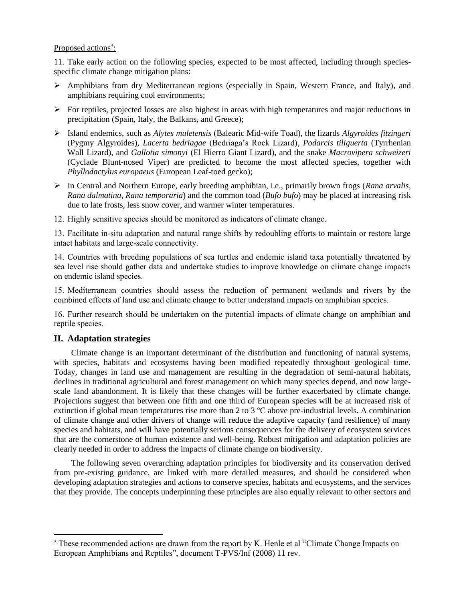# Proposed actions<sup>3</sup>:

11. Take early action on the following species, expected to be most affected, including through speciesspecific climate change mitigation plans:

- $\triangleright$  Amphibians from dry Mediterranean regions (especially in Spain, Western France, and Italy), and amphibians requiring cool environments;
- $\triangleright$  For reptiles, projected losses are also highest in areas with high temperatures and major reductions in precipitation (Spain, Italy, the Balkans, and Greece);
- Island endemics, such as *Alytes muletensis* (Balearic Mid-wife Toad), the lizards *Algyroides fitzingeri* (Pygmy Algyroides), *Lacerta bedriagae* (Bedriaga's Rock Lizard), *Podarcis tiliguerta* (Tyrrhenian Wall Lizard), and *Gallotia simonyi* (El Hierro Giant Lizard), and the snake *Macrovipera schweizeri* (Cyclade Blunt-nosed Viper) are predicted to become the most affected species, together with *Phyllodactylus europaeus* (European Leaf-toed gecko);
- In Central and Northern Europe, early breeding amphibian, i.e., primarily brown frogs (*Rana arvalis, Rana dalmatina, Rana temporaria*) and the common toad (*Bufo bufo*) may be placed at increasing risk due to late frosts, less snow cover, and warmer winter temperatures.
- 12. Highly sensitive species should be monitored as indicators of climate change.

13. Facilitate in-situ adaptation and natural range shifts by redoubling efforts to maintain or restore large intact habitats and large-scale connectivity.

14. Countries with breeding populations of sea turtles and endemic island taxa potentially threatened by sea level rise should gather data and undertake studies to improve knowledge on climate change impacts on endemic island species.

15. Mediterranean countries should assess the reduction of permanent wetlands and rivers by the combined effects of land use and climate change to better understand impacts on amphibian species.

16. Further research should be undertaken on the potential impacts of climate change on amphibian and reptile species.

# **II. Adaptation strategies**

 $\overline{a}$ 

Climate change is an important determinant of the distribution and functioning of natural systems, with species, habitats and ecosystems having been modified repeatedly throughout geological time. Today, changes in land use and management are resulting in the degradation of semi-natural habitats, declines in traditional agricultural and forest management on which many species depend, and now largescale land abandonment. It is likely that these changes will be further exacerbated by climate change. Projections suggest that between one fifth and one third of European species will be at increased risk of extinction if global mean temperatures rise more than 2 to 3 ºC above pre-industrial levels. A combination of climate change and other drivers of change will reduce the adaptive capacity (and resilience) of many species and habitats, and will have potentially serious consequences for the delivery of ecosystem services that are the cornerstone of human existence and well-being. Robust mitigation and adaptation policies are clearly needed in order to address the impacts of climate change on biodiversity.

The following seven overarching adaptation principles for biodiversity and its conservation derived from pre-existing guidance, are linked with more detailed measures, and should be considered when developing adaptation strategies and actions to conserve species, habitats and ecosystems, and the services that they provide. The concepts underpinning these principles are also equally relevant to other sectors and

<sup>&</sup>lt;sup>3</sup> These recommended actions are drawn from the report by K. Henle et al "Climate Change Impacts on European Amphibians and Reptiles", document T-PVS/Inf (2008) 11 rev.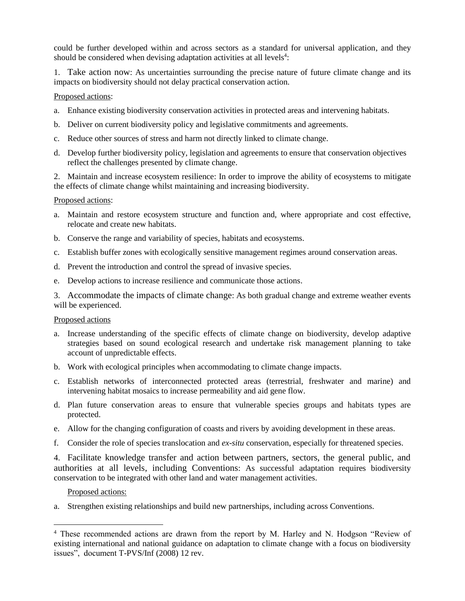could be further developed within and across sectors as a standard for universal application, and they should be considered when devising adaptation activities at all levels<sup>4</sup>:

1. Take action now: As uncertainties surrounding the precise nature of future climate change and its impacts on biodiversity should not delay practical conservation action.

### Proposed actions:

- a. Enhance existing biodiversity conservation activities in protected areas and intervening habitats.
- b. Deliver on current biodiversity policy and legislative commitments and agreements.
- c. Reduce other sources of stress and harm not directly linked to climate change.
- d. Develop further biodiversity policy, legislation and agreements to ensure that conservation objectives reflect the challenges presented by climate change.

2. Maintain and increase ecosystem resilience: In order to improve the ability of ecosystems to mitigate the effects of climate change whilst maintaining and increasing biodiversity.

#### Proposed actions:

- a. Maintain and restore ecosystem structure and function and, where appropriate and cost effective, relocate and create new habitats.
- b. Conserve the range and variability of species, habitats and ecosystems.
- c. Establish buffer zones with ecologically sensitive management regimes around conservation areas.
- d. Prevent the introduction and control the spread of invasive species.
- e. Develop actions to increase resilience and communicate those actions.

3. Accommodate the impacts of climate change: As both gradual change and extreme weather events will be experienced.

#### Proposed actions

- a. Increase understanding of the specific effects of climate change on biodiversity, develop adaptive strategies based on sound ecological research and undertake risk management planning to take account of unpredictable effects.
- b. Work with ecological principles when accommodating to climate change impacts.
- c. Establish networks of interconnected protected areas (terrestrial, freshwater and marine) and intervening habitat mosaics to increase permeability and aid gene flow.
- d. Plan future conservation areas to ensure that vulnerable species groups and habitats types are protected.
- e. Allow for the changing configuration of coasts and rivers by avoiding development in these areas.
- f. Consider the role of species translocation and *ex-situ* conservation, especially for threatened species.

4. Facilitate knowledge transfer and action between partners, sectors, the general public, and authorities at all levels, including Conventions: As successful adaptation requires biodiversity conservation to be integrated with other land and water management activities.

#### Proposed actions:

 $\overline{a}$ 

a. Strengthen existing relationships and build new partnerships, including across Conventions.

<sup>4</sup> These recommended actions are drawn from the report by M. Harley and N. Hodgson "Review of existing international and national guidance on adaptation to climate change with a focus on biodiversity issues", document T-PVS/Inf (2008) 12 rev.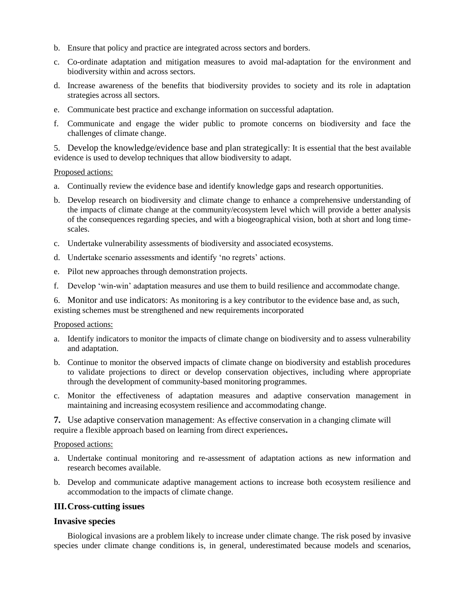- b. Ensure that policy and practice are integrated across sectors and borders.
- c. Co-ordinate adaptation and mitigation measures to avoid mal-adaptation for the environment and biodiversity within and across sectors.
- d. Increase awareness of the benefits that biodiversity provides to society and its role in adaptation strategies across all sectors.
- e. Communicate best practice and exchange information on successful adaptation.
- f. Communicate and engage the wider public to promote concerns on biodiversity and face the challenges of climate change.

5. Develop the knowledge/evidence base and plan strategically: It is essential that the best available evidence is used to develop techniques that allow biodiversity to adapt.

#### Proposed actions:

- a. Continually review the evidence base and identify knowledge gaps and research opportunities.
- b. Develop research on biodiversity and climate change to enhance a comprehensive understanding of the impacts of climate change at the community/ecosystem level which will provide a better analysis of the consequences regarding species, and with a biogeographical vision, both at short and long timescales.
- c. Undertake vulnerability assessments of biodiversity and associated ecosystems.
- d. Undertake scenario assessments and identify 'no regrets' actions.
- e. Pilot new approaches through demonstration projects.
- f. Develop 'win-win' adaptation measures and use them to build resilience and accommodate change.

6. Monitor and use indicators: As monitoring is a key contributor to the evidence base and, as such, existing schemes must be strengthened and new requirements incorporated

#### Proposed actions:

- a. Identify indicators to monitor the impacts of climate change on biodiversity and to assess vulnerability and adaptation.
- b. Continue to monitor the observed impacts of climate change on biodiversity and establish procedures to validate projections to direct or develop conservation objectives, including where appropriate through the development of community-based monitoring programmes.
- c. Monitor the effectiveness of adaptation measures and adaptive conservation management in maintaining and increasing ecosystem resilience and accommodating change.

**7.** Use adaptive conservation management: As effective conservation in a changing climate will require a flexible approach based on learning from direct experiences**.**

#### Proposed actions:

- a. Undertake continual monitoring and re-assessment of adaptation actions as new information and research becomes available.
- b. Develop and communicate adaptive management actions to increase both ecosystem resilience and accommodation to the impacts of climate change.

#### **III.Cross-cutting issues**

# **Invasive species**

Biological invasions are a problem likely to increase under climate change. The risk posed by invasive species under climate change conditions is, in general, underestimated because models and scenarios,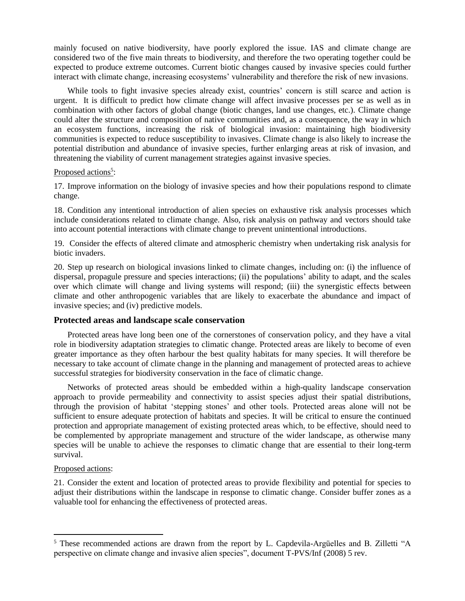mainly focused on native biodiversity, have poorly explored the issue. IAS and climate change are considered two of the five main threats to biodiversity, and therefore the two operating together could be expected to produce extreme outcomes. Current biotic changes caused by invasive species could further interact with climate change, increasing ecosystems' vulnerability and therefore the risk of new invasions.

While tools to fight invasive species already exist, countries' concern is still scarce and action is urgent. It is difficult to predict how climate change will affect invasive processes per se as well as in combination with other factors of global change (biotic changes, land use changes, etc.). Climate change could alter the structure and composition of native communities and, as a consequence, the way in which an ecosystem functions, increasing the risk of biological invasion: maintaining high biodiversity communities is expected to reduce susceptibility to invasives. Climate change is also likely to increase the potential distribution and abundance of invasive species, further enlarging areas at risk of invasion, and threatening the viability of current management strategies against invasive species.

### Proposed actions<sup>5</sup>:

17. Improve information on the biology of invasive species and how their populations respond to climate change.

18. Condition any intentional introduction of alien species on exhaustive risk analysis processes which include considerations related to climate change. Also, risk analysis on pathway and vectors should take into account potential interactions with climate change to prevent unintentional introductions.

19. Consider the effects of altered climate and atmospheric chemistry when undertaking risk analysis for biotic invaders.

20. Step up research on biological invasions linked to climate changes, including on: (i) the influence of dispersal, propagule pressure and species interactions; (ii) the populations' ability to adapt, and the scales over which climate will change and living systems will respond; (iii) the synergistic effects between climate and other anthropogenic variables that are likely to exacerbate the abundance and impact of invasive species; and (iv) predictive models.

#### **Protected areas and landscape scale conservation**

Protected areas have long been one of the cornerstones of conservation policy, and they have a vital role in biodiversity adaptation strategies to climatic change. Protected areas are likely to become of even greater importance as they often harbour the best quality habitats for many species. It will therefore be necessary to take account of climate change in the planning and management of protected areas to achieve successful strategies for biodiversity conservation in the face of climatic change.

Networks of protected areas should be embedded within a high-quality landscape conservation approach to provide permeability and connectivity to assist species adjust their spatial distributions, through the provision of habitat 'stepping stones' and other tools. Protected areas alone will not be sufficient to ensure adequate protection of habitats and species. It will be critical to ensure the continued protection and appropriate management of existing protected areas which, to be effective, should need to be complemented by appropriate management and structure of the wider landscape, as otherwise many species will be unable to achieve the responses to climatic change that are essential to their long-term survival.

#### Proposed actions:

 $\overline{a}$ 

21. Consider the extent and location of protected areas to provide flexibility and potential for species to adjust their distributions within the landscape in response to climatic change. Consider buffer zones as a valuable tool for enhancing the effectiveness of protected areas.

<sup>5</sup> These recommended actions are drawn from the report by L. Capdevila-Argüelles and B. Zilletti "A perspective on climate change and invasive alien species", document T-PVS/Inf (2008) 5 rev.